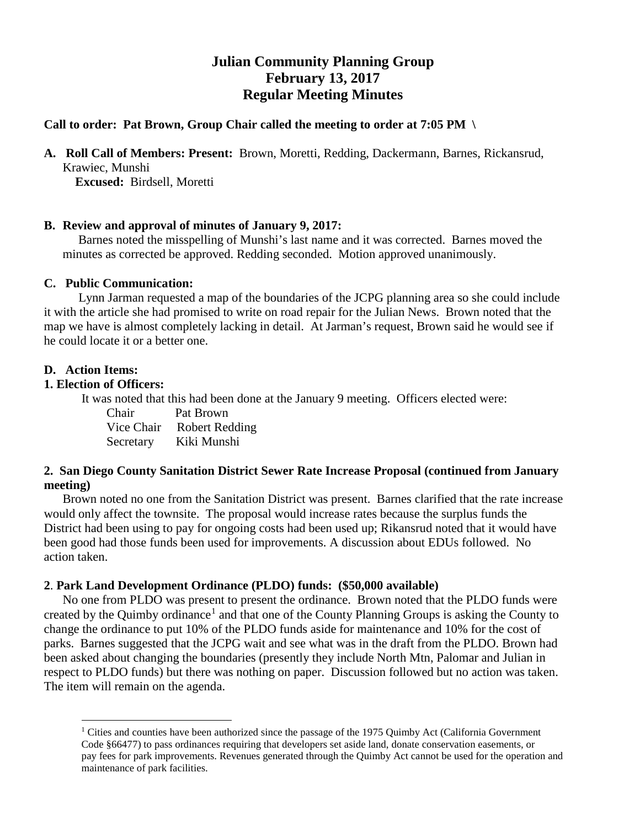# **Julian Community Planning Group February 13, 2017 Regular Meeting Minutes**

## **Call to order: Pat Brown, Group Chair called the meeting to order at 7:05 PM \**

**A. Roll Call of Members: Present:** Brown, Moretti, Redding, Dackermann, Barnes, Rickansrud, Krawiec, Munshi

**Excused:** Birdsell, Moretti

## **B. Review and approval of minutes of January 9, 2017:**

 Barnes noted the misspelling of Munshi's last name and it was corrected. Barnes moved the minutes as corrected be approved. Redding seconded. Motion approved unanimously.

## **C. Public Communication:**

 Lynn Jarman requested a map of the boundaries of the JCPG planning area so she could include it with the article she had promised to write on road repair for the Julian News. Brown noted that the map we have is almost completely lacking in detail. At Jarman's request, Brown said he would see if he could locate it or a better one.

## **D. Action Items:**

 $\overline{a}$ 

## **1. Election of Officers:**

It was noted that this had been done at the January 9 meeting. Officers elected were:

 Chair Pat Brown Vice Chair Robert Redding Secretary Kiki Munshi

# **2. San Diego County Sanitation District Sewer Rate Increase Proposal (continued from January meeting)**

Brown noted no one from the Sanitation District was present. Barnes clarified that the rate increase would only affect the townsite. The proposal would increase rates because the surplus funds the District had been using to pay for ongoing costs had been used up; Rikansrud noted that it would have been good had those funds been used for improvements. A discussion about EDUs followed. No action taken.

## **2**. **Park Land Development Ordinance (PLDO) funds: (\$50,000 available)**

No one from PLDO was present to present the ordinance. Brown noted that the PLDO funds were created by the Quimby ordinance<sup>[1](#page-0-0)</sup> and that one of the County Planning Groups is asking the County to change the ordinance to put 10% of the PLDO funds aside for maintenance and 10% for the cost of parks. Barnes suggested that the JCPG wait and see what was in the draft from the PLDO. Brown had been asked about changing the boundaries (presently they include North Mtn, Palomar and Julian in respect to PLDO funds) but there was nothing on paper. Discussion followed but no action was taken. The item will remain on the agenda.

<span id="page-0-0"></span><sup>&</sup>lt;sup>1</sup> Cities and counties have been authorized since the passage of the 1975 Quimby Act (California Government Code §66477) to pass ordinances requiring that developers set aside land, donate conservation easements, or pay fees for park improvements. Revenues generated through the Quimby Act cannot be used for the operation and maintenance of park facilities.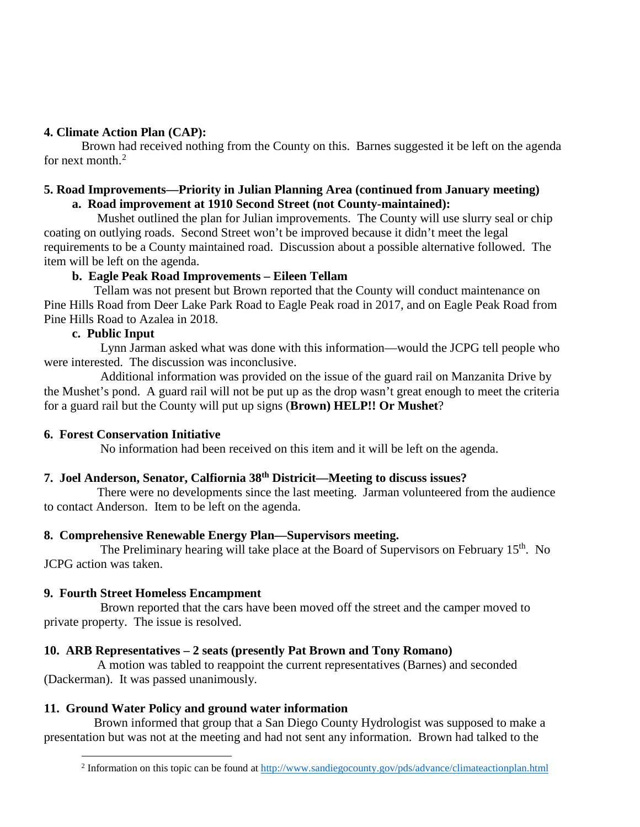# **4. Climate Action Plan (CAP):**

Brown had received nothing from the County on this. Barnes suggested it be left on the agenda for next month. $2$ 

#### **5. Road Improvements—Priority in Julian Planning Area (continued from January meeting) a. Road improvement at 1910 Second Street (not County-maintained):**

Mushet outlined the plan for Julian improvements. The County will use slurry seal or chip coating on outlying roads. Second Street won't be improved because it didn't meet the legal requirements to be a County maintained road. Discussion about a possible alternative followed. The item will be left on the agenda.

# **b. Eagle Peak Road Improvements – Eileen Tellam**

Tellam was not present but Brown reported that the County will conduct maintenance on Pine Hills Road from Deer Lake Park Road to Eagle Peak road in 2017, and on Eagle Peak Road from Pine Hills Road to Azalea in 2018.

# **c. Public Input**

Lynn Jarman asked what was done with this information—would the JCPG tell people who were interested. The discussion was inconclusive.

 Additional information was provided on the issue of the guard rail on Manzanita Drive by the Mushet's pond. A guard rail will not be put up as the drop wasn't great enough to meet the criteria for a guard rail but the County will put up signs (**Brown) HELP!! Or Mushet**?

## **6. Forest Conservation Initiative**

No information had been received on this item and it will be left on the agenda.

# **7. Joel Anderson, Senator, Calfiornia 38th Districit—Meeting to discuss issues?**

There were no developments since the last meeting. Jarman volunteered from the audience to contact Anderson. Item to be left on the agenda.

# **8. Comprehensive Renewable Energy Plan—Supervisors meeting.**

The Preliminary hearing will take place at the Board of Supervisors on February 15<sup>th</sup>. No JCPG action was taken.

# **9. Fourth Street Homeless Encampment**

Brown reported that the cars have been moved off the street and the camper moved to private property. The issue is resolved.

# **10. ARB Representatives – 2 seats (presently Pat Brown and Tony Romano)**

A motion was tabled to reappoint the current representatives (Barnes) and seconded (Dackerman). It was passed unanimously.

# **11. Ground Water Policy and ground water information**

<span id="page-1-0"></span>Brown informed that group that a San Diego County Hydrologist was supposed to make a presentation but was not at the meeting and had not sent any information. Brown had talked to the

<sup>2</sup> Information on this topic can be found at<http://www.sandiegocounty.gov/pds/advance/climateactionplan.html>  $\overline{a}$